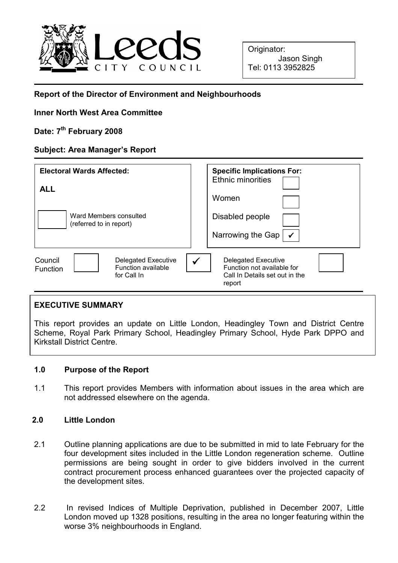

Originator: Jason Singh Tel: 0113 3952825

# Report of the Director of Environment and Neighbourhoods

## Inner North West Area Committee

# Date: 7<sup>th</sup> February 2008

## Subject: Area Manager's Report

| <b>Electoral Wards Affected:</b><br><b>ALL</b><br>Ward Members consulted<br>(referred to in report) | <b>Specific Implications For:</b><br><b>Ethnic minorities</b><br>Women<br>Disabled people<br>Narrowing the Gap |
|-----------------------------------------------------------------------------------------------------|----------------------------------------------------------------------------------------------------------------|
| Council                                                                                             | $\checkmark$                                                                                                   |
| <b>Delegated Executive</b>                                                                          | <b>Delegated Executive</b>                                                                                     |
| Function available                                                                                  | Function not available for                                                                                     |
| <b>Function</b>                                                                                     | Call In Details set out in the                                                                                 |
| for Call In                                                                                         | report                                                                                                         |

## EXECUTIVE SUMMARY

This report provides an update on Little London, Headingley Town and District Centre Scheme, Royal Park Primary School, Headingley Primary School, Hyde Park DPPO and Kirkstall District Centre.

## 1.0 Purpose of the Report

1.1 This report provides Members with information about issues in the area which are not addressed elsewhere on the agenda.

## 2.0 Little London

- 2.1 Outline planning applications are due to be submitted in mid to late February for the four development sites included in the Little London regeneration scheme. Outline permissions are being sought in order to give bidders involved in the current contract procurement process enhanced guarantees over the projected capacity of the development sites.
- 2.2 In revised Indices of Multiple Deprivation, published in December 2007, Little London moved up 1328 positions, resulting in the area no longer featuring within the worse 3% neighbourhoods in England.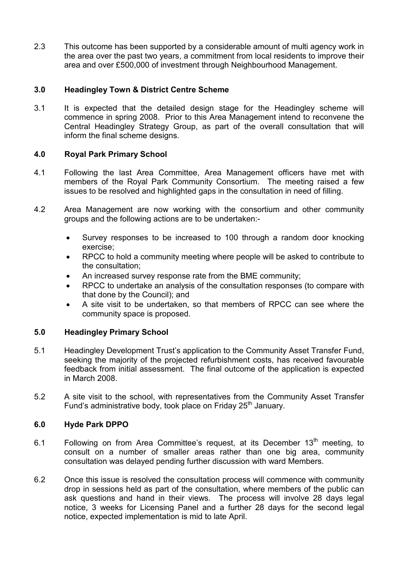2.3 This outcome has been supported by a considerable amount of multi agency work in the area over the past two years, a commitment from local residents to improve their area and over £500,000 of investment through Neighbourhood Management.

## 3.0 Headingley Town & District Centre Scheme

3.1 It is expected that the detailed design stage for the Headingley scheme will commence in spring 2008. Prior to this Area Management intend to reconvene the Central Headingley Strategy Group, as part of the overall consultation that will inform the final scheme designs.

## 4.0 Royal Park Primary School

- 4.1 Following the last Area Committee, Area Management officers have met with members of the Royal Park Community Consortium. The meeting raised a few issues to be resolved and highlighted gaps in the consultation in need of filling.
- 4.2 Area Management are now working with the consortium and other community groups and the following actions are to be undertaken:-
	- Survey responses to be increased to 100 through a random door knocking exercise;
	- RPCC to hold a community meeting where people will be asked to contribute to the consultation;
	- An increased survey response rate from the BME community;
	- RPCC to undertake an analysis of the consultation responses (to compare with that done by the Council); and
	- A site visit to be undertaken, so that members of RPCC can see where the community space is proposed.

## 5.0 Headingley Primary School

- 5.1 Headingley Development Trust's application to the Community Asset Transfer Fund, seeking the majority of the projected refurbishment costs, has received favourable feedback from initial assessment. The final outcome of the application is expected in March 2008.
- 5.2 A site visit to the school, with representatives from the Community Asset Transfer Fund's administrative body, took place on Friday 25<sup>th</sup> January.

## 6.0 Hyde Park DPPO

- 6.1 Following on from Area Committee's request, at its December  $13<sup>th</sup>$  meeting, to consult on a number of smaller areas rather than one big area, community consultation was delayed pending further discussion with ward Members.
- 6.2 Once this issue is resolved the consultation process will commence with community drop in sessions held as part of the consultation, where members of the public can ask questions and hand in their views. The process will involve 28 days legal notice, 3 weeks for Licensing Panel and a further 28 days for the second legal notice, expected implementation is mid to late April.